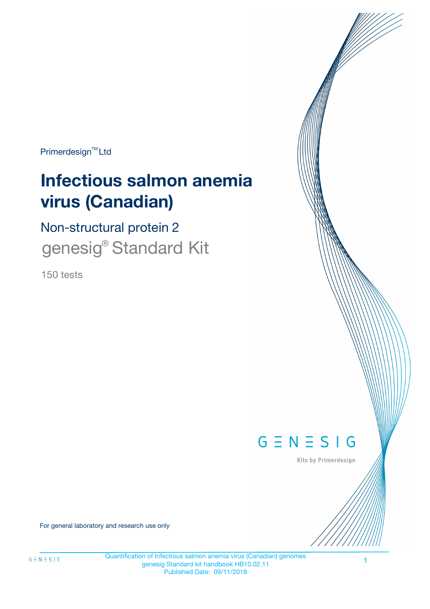Primerdesign<sup>™</sup>Ltd

# **Infectious salmon anemia virus (Canadian)**

Non-structural protein 2 genesig<sup>®</sup> Standard Kit

150 tests



Kits by Primerdesign

For general laboratory and research use only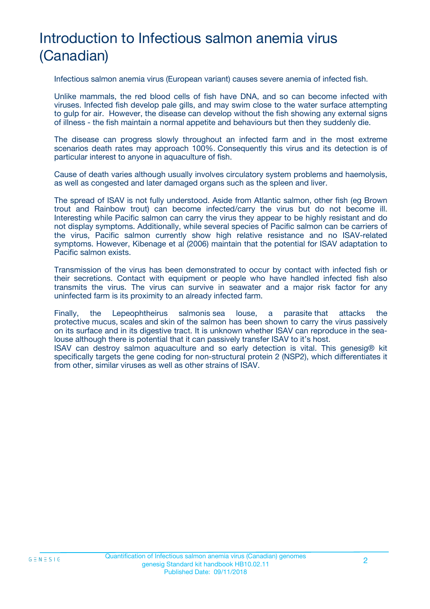# Introduction to Infectious salmon anemia virus (Canadian)

Infectious salmon anemia virus (European variant) causes severe anemia of infected fish.

Unlike mammals, the red blood cells of fish have DNA, and so can become infected with viruses. Infected fish develop pale gills, and may swim close to the water surface attempting to gulp for air. However, the disease can develop without the fish showing any external signs of illness - the fish maintain a normal appetite and behaviours but then they suddenly die.

The disease can progress slowly throughout an infected farm and in the most extreme scenarios death rates may approach 100%. Consequently this virus and its detection is of particular interest to anyone in aquaculture of fish.

Cause of death varies although usually involves circulatory system problems and haemolysis, as well as congested and later damaged organs such as the spleen and liver.

The spread of ISAV is not fully understood. Aside from Atlantic salmon, other fish (eg Brown trout and Rainbow trout) can become infected/carry the virus but do not become ill. Interesting while Pacific salmon can carry the virus they appear to be highly resistant and do not display symptoms. Additionally, while several species of Pacific salmon can be carriers of the virus, Pacific salmon currently show high relative resistance and no ISAV-related symptoms. However, Kibenage et al (2006) maintain that the potential for ISAV adaptation to Pacific salmon exists.

Transmission of the virus has been demonstrated to occur by contact with infected fish or their secretions. Contact with equipment or people who have handled infected fish also transmits the virus. The virus can survive in seawater and a major risk factor for any uninfected farm is its proximity to an already infected farm.

Finally, the Lepeophtheirus salmonis sea louse, a parasite that attacks the protective mucus, scales and skin of the salmon has been shown to carry the virus passively on its surface and in its digestive tract. It is unknown whether ISAV can reproduce in the sealouse although there is potential that it can passively transfer ISAV to it's host.

ISAV can destroy salmon aquaculture and so early detection is vital. This genesig® kit specifically targets the gene coding for non-structural protein 2 (NSP2), which differentiates it from other, similar viruses as well as other strains of ISAV.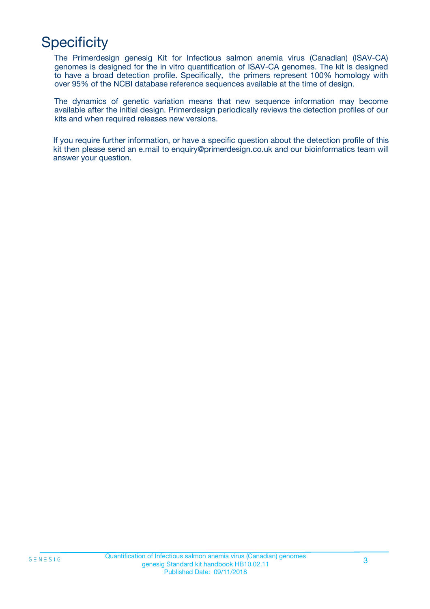# **Specificity**

The Primerdesign genesig Kit for Infectious salmon anemia virus (Canadian) (ISAV-CA) genomes is designed for the in vitro quantification of ISAV-CA genomes. The kit is designed to have a broad detection profile. Specifically, the primers represent 100% homology with over 95% of the NCBI database reference sequences available at the time of design.

The dynamics of genetic variation means that new sequence information may become available after the initial design. Primerdesign periodically reviews the detection profiles of our kits and when required releases new versions.

If you require further information, or have a specific question about the detection profile of this kit then please send an e.mail to enquiry@primerdesign.co.uk and our bioinformatics team will answer your question.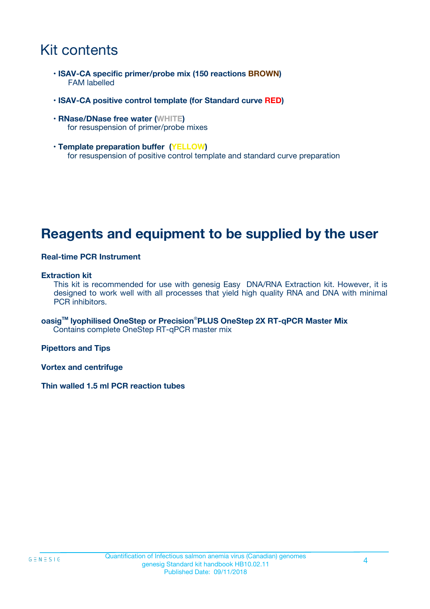### Kit contents

- **ISAV-CA specific primer/probe mix (150 reactions BROWN)** FAM labelled
- **ISAV-CA positive control template (for Standard curve RED)**
- **RNase/DNase free water (WHITE)** for resuspension of primer/probe mixes
- **Template preparation buffer (YELLOW)** for resuspension of positive control template and standard curve preparation

### **Reagents and equipment to be supplied by the user**

#### **Real-time PCR Instrument**

#### **Extraction kit**

This kit is recommended for use with genesig Easy DNA/RNA Extraction kit. However, it is designed to work well with all processes that yield high quality RNA and DNA with minimal PCR inhibitors.

**oasigTM lyophilised OneStep or Precision**®**PLUS OneStep 2X RT-qPCR Master Mix** Contains complete OneStep RT-qPCR master mix

**Pipettors and Tips**

**Vortex and centrifuge**

**Thin walled 1.5 ml PCR reaction tubes**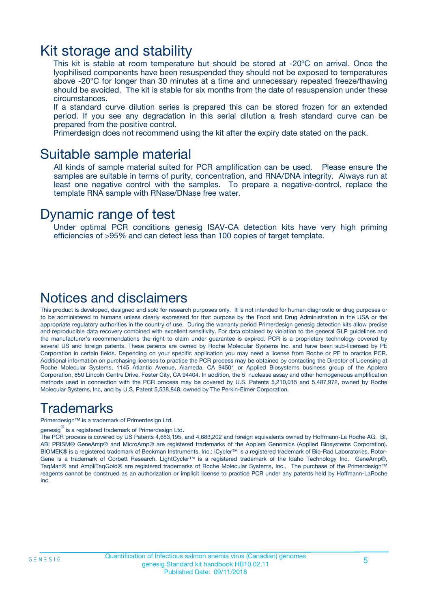### Kit storage and stability

This kit is stable at room temperature but should be stored at -20ºC on arrival. Once the lyophilised components have been resuspended they should not be exposed to temperatures above -20°C for longer than 30 minutes at a time and unnecessary repeated freeze/thawing should be avoided. The kit is stable for six months from the date of resuspension under these circumstances.

If a standard curve dilution series is prepared this can be stored frozen for an extended period. If you see any degradation in this serial dilution a fresh standard curve can be prepared from the positive control.

Primerdesign does not recommend using the kit after the expiry date stated on the pack.

### Suitable sample material

All kinds of sample material suited for PCR amplification can be used. Please ensure the samples are suitable in terms of purity, concentration, and RNA/DNA integrity. Always run at least one negative control with the samples. To prepare a negative-control, replace the template RNA sample with RNase/DNase free water.

### Dynamic range of test

Under optimal PCR conditions genesig ISAV-CA detection kits have very high priming efficiencies of >95% and can detect less than 100 copies of target template.

### Notices and disclaimers

This product is developed, designed and sold for research purposes only. It is not intended for human diagnostic or drug purposes or to be administered to humans unless clearly expressed for that purpose by the Food and Drug Administration in the USA or the appropriate regulatory authorities in the country of use. During the warranty period Primerdesign genesig detection kits allow precise and reproducible data recovery combined with excellent sensitivity. For data obtained by violation to the general GLP guidelines and the manufacturer's recommendations the right to claim under guarantee is expired. PCR is a proprietary technology covered by several US and foreign patents. These patents are owned by Roche Molecular Systems Inc. and have been sub-licensed by PE Corporation in certain fields. Depending on your specific application you may need a license from Roche or PE to practice PCR. Additional information on purchasing licenses to practice the PCR process may be obtained by contacting the Director of Licensing at Roche Molecular Systems, 1145 Atlantic Avenue, Alameda, CA 94501 or Applied Biosystems business group of the Applera Corporation, 850 Lincoln Centre Drive, Foster City, CA 94404. In addition, the 5' nuclease assay and other homogeneous amplification methods used in connection with the PCR process may be covered by U.S. Patents 5,210,015 and 5,487,972, owned by Roche Molecular Systems, Inc, and by U.S. Patent 5,538,848, owned by The Perkin-Elmer Corporation.

### Trademarks

Primerdesign™ is a trademark of Primerdesign Ltd.

genesig $^\circledR$  is a registered trademark of Primerdesign Ltd.

The PCR process is covered by US Patents 4,683,195, and 4,683,202 and foreign equivalents owned by Hoffmann-La Roche AG. BI, ABI PRISM® GeneAmp® and MicroAmp® are registered trademarks of the Applera Genomics (Applied Biosystems Corporation). BIOMEK® is a registered trademark of Beckman Instruments, Inc.; iCycler™ is a registered trademark of Bio-Rad Laboratories, Rotor-Gene is a trademark of Corbett Research. LightCycler™ is a registered trademark of the Idaho Technology Inc. GeneAmp®, TaqMan® and AmpliTaqGold® are registered trademarks of Roche Molecular Systems, Inc., The purchase of the Primerdesign™ reagents cannot be construed as an authorization or implicit license to practice PCR under any patents held by Hoffmann-LaRoche Inc.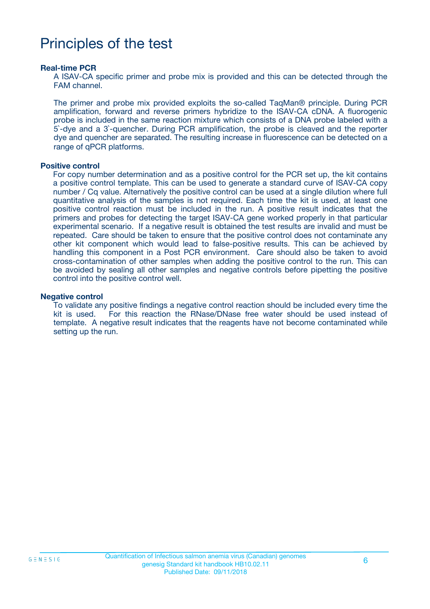### Principles of the test

#### **Real-time PCR**

A ISAV-CA specific primer and probe mix is provided and this can be detected through the FAM channel.

The primer and probe mix provided exploits the so-called TaqMan® principle. During PCR amplification, forward and reverse primers hybridize to the ISAV-CA cDNA. A fluorogenic probe is included in the same reaction mixture which consists of a DNA probe labeled with a 5`-dye and a 3`-quencher. During PCR amplification, the probe is cleaved and the reporter dye and quencher are separated. The resulting increase in fluorescence can be detected on a range of qPCR platforms.

#### **Positive control**

For copy number determination and as a positive control for the PCR set up, the kit contains a positive control template. This can be used to generate a standard curve of ISAV-CA copy number / Cq value. Alternatively the positive control can be used at a single dilution where full quantitative analysis of the samples is not required. Each time the kit is used, at least one positive control reaction must be included in the run. A positive result indicates that the primers and probes for detecting the target ISAV-CA gene worked properly in that particular experimental scenario. If a negative result is obtained the test results are invalid and must be repeated. Care should be taken to ensure that the positive control does not contaminate any other kit component which would lead to false-positive results. This can be achieved by handling this component in a Post PCR environment. Care should also be taken to avoid cross-contamination of other samples when adding the positive control to the run. This can be avoided by sealing all other samples and negative controls before pipetting the positive control into the positive control well.

#### **Negative control**

To validate any positive findings a negative control reaction should be included every time the kit is used. For this reaction the RNase/DNase free water should be used instead of template. A negative result indicates that the reagents have not become contaminated while setting up the run.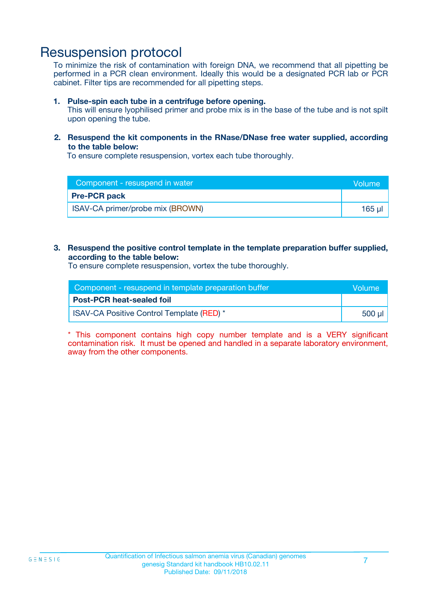### Resuspension protocol

To minimize the risk of contamination with foreign DNA, we recommend that all pipetting be performed in a PCR clean environment. Ideally this would be a designated PCR lab or PCR cabinet. Filter tips are recommended for all pipetting steps.

#### **1. Pulse-spin each tube in a centrifuge before opening.**

This will ensure lyophilised primer and probe mix is in the base of the tube and is not spilt upon opening the tube.

#### **2. Resuspend the kit components in the RNase/DNase free water supplied, according to the table below:**

To ensure complete resuspension, vortex each tube thoroughly.

| Component - resuspend in water   | <b>Volume</b> |
|----------------------------------|---------------|
| <b>Pre-PCR pack</b>              |               |
| ISAV-CA primer/probe mix (BROWN) | 165 ul        |

#### **3. Resuspend the positive control template in the template preparation buffer supplied, according to the table below:**

To ensure complete resuspension, vortex the tube thoroughly.

| Component - resuspend in template preparation buffer |         |  |
|------------------------------------------------------|---------|--|
| <b>Post-PCR heat-sealed foil</b>                     |         |  |
| <b>ISAV-CA Positive Control Template (RED)</b> *     | .500 ul |  |

\* This component contains high copy number template and is a VERY significant contamination risk. It must be opened and handled in a separate laboratory environment, away from the other components.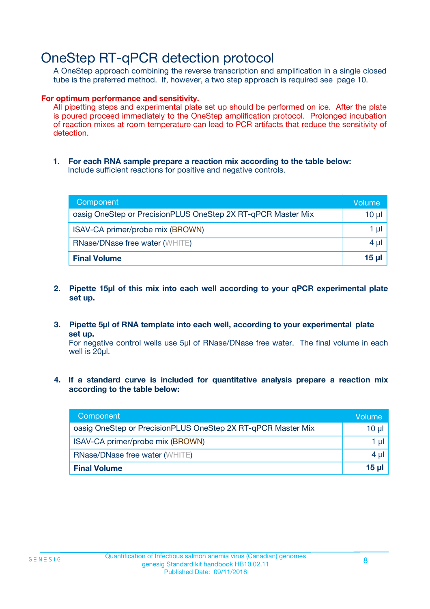### OneStep RT-qPCR detection protocol

A OneStep approach combining the reverse transcription and amplification in a single closed tube is the preferred method. If, however, a two step approach is required see page 10.

#### **For optimum performance and sensitivity.**

All pipetting steps and experimental plate set up should be performed on ice. After the plate is poured proceed immediately to the OneStep amplification protocol. Prolonged incubation of reaction mixes at room temperature can lead to PCR artifacts that reduce the sensitivity of detection.

**1. For each RNA sample prepare a reaction mix according to the table below:** Include sufficient reactions for positive and negative controls.

| Component                                                    | Volume   |
|--------------------------------------------------------------|----------|
| oasig OneStep or PrecisionPLUS OneStep 2X RT-qPCR Master Mix | $10 \mu$ |
| ISAV-CA primer/probe mix (BROWN)                             | 1 µl     |
| <b>RNase/DNase free water (WHITE)</b>                        | $4 \mu$  |
| <b>Final Volume</b>                                          | $15$ µ   |

- **2. Pipette 15µl of this mix into each well according to your qPCR experimental plate set up.**
- **3. Pipette 5µl of RNA template into each well, according to your experimental plate set up.**

For negative control wells use 5µl of RNase/DNase free water. The final volume in each well is 20ul.

**4. If a standard curve is included for quantitative analysis prepare a reaction mix according to the table below:**

| Component                                                    | Volume  |
|--------------------------------------------------------------|---------|
| oasig OneStep or PrecisionPLUS OneStep 2X RT-qPCR Master Mix | 10 µl   |
| ISAV-CA primer/probe mix (BROWN)                             | 1 ul    |
| <b>RNase/DNase free water (WHITE)</b>                        | $4 \mu$ |
| <b>Final Volume</b>                                          | 15 ul   |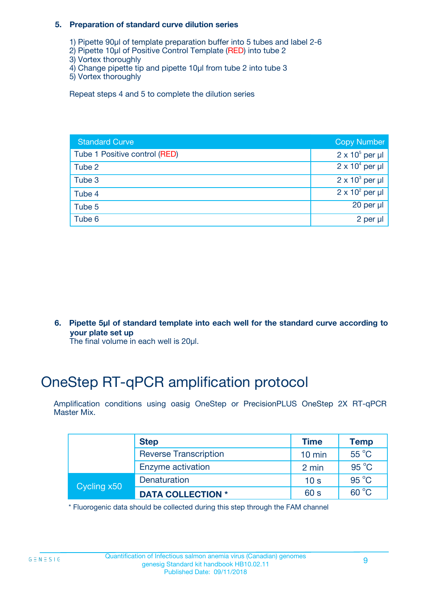#### **5. Preparation of standard curve dilution series**

- 1) Pipette 90µl of template preparation buffer into 5 tubes and label 2-6
- 2) Pipette 10µl of Positive Control Template (RED) into tube 2
- 3) Vortex thoroughly
- 4) Change pipette tip and pipette 10µl from tube 2 into tube 3
- 5) Vortex thoroughly

Repeat steps 4 and 5 to complete the dilution series

| <b>Standard Curve</b>         | <b>Copy Number</b>     |
|-------------------------------|------------------------|
| Tube 1 Positive control (RED) | $2 \times 10^5$ per µl |
| Tube 2                        | $2 \times 10^4$ per µl |
| Tube 3                        | $2 \times 10^3$ per µl |
| Tube 4                        | $2 \times 10^2$ per µl |
| Tube 5                        | 20 per $\mu$           |
| Tube 6                        | 2 per µl               |

**6. Pipette 5µl of standard template into each well for the standard curve according to your plate set up**

The final volume in each well is 20ul.

# OneStep RT-qPCR amplification protocol

Amplification conditions using oasig OneStep or PrecisionPLUS OneStep 2X RT-qPCR Master Mix.

|             | <b>Step</b>                  | <b>Time</b>      | <b>Temp</b>    |
|-------------|------------------------------|------------------|----------------|
|             | <b>Reverse Transcription</b> | $10 \text{ min}$ | 55 °C          |
|             | Enzyme activation            | 2 min            | $95^{\circ}$ C |
| Cycling x50 | Denaturation                 | 10 <sub>s</sub>  | $95^{\circ}$ C |
|             | <b>DATA COLLECTION *</b>     | 60 s             | $60^{\circ}$ C |

\* Fluorogenic data should be collected during this step through the FAM channel